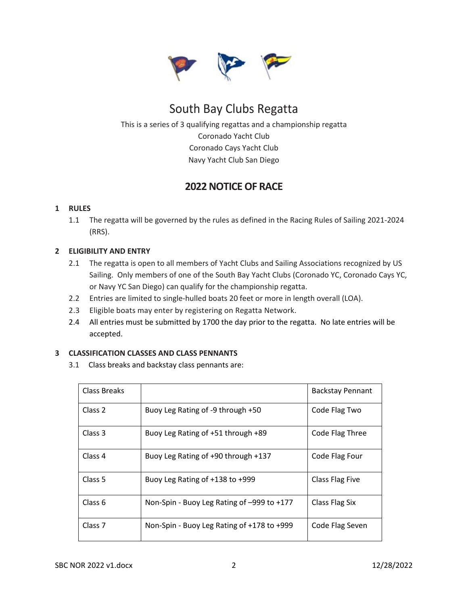

# South Bay Clubs Regatta

This is a series of 3 qualifying regattas and a championship regatta Coronado Yacht Club Coronado Cays Yacht Club Navy Yacht Club San Diego

## **2022 NOTICE OF RACE**

### **1 RULES**

1.1 The regatta will be governed by the rules as defined in the Racing Rules of Sailing 2021-2024 (RRS).

#### **2 ELIGIBILITY AND ENTRY**

- 2.1 The regatta is open to all members of Yacht Clubs and Sailing Associations recognized by US Sailing. Only members of one of the South Bay Yacht Clubs (Coronado YC, Coronado Cays YC, or Navy YC San Diego) can qualify for the championship regatta.
- 2.2 Entries are limited to single-hulled boats 20 feet or more in length overall (LOA).
- 2.3 Eligible boats may enter by registering on Regatta Network.
- 2.4 All entries must be submitted by 1700 the day prior to the regatta. No late entries will be accepted.

#### **3 CLASSIFICATION CLASSES AND CLASS PENNANTS**

3.1 Class breaks and backstay class pennants are:

| Class Breaks       |                                            | <b>Backstay Pennant</b> |
|--------------------|--------------------------------------------|-------------------------|
| Class 2            | Buoy Leg Rating of -9 through +50          | Code Flag Two           |
| Class 3            | Buoy Leg Rating of +51 through +89         | Code Flag Three         |
| Class 4            | Buoy Leg Rating of +90 through +137        | Code Flag Four          |
| Class 5            | Buoy Leg Rating of $+138$ to $+999$        | Class Flag Five         |
| Class <sub>6</sub> | Non-Spin - Buoy Leg Rating of -999 to +177 | Class Flag Six          |
| Class <sub>7</sub> | Non-Spin - Buoy Leg Rating of +178 to +999 | Code Flag Seven         |